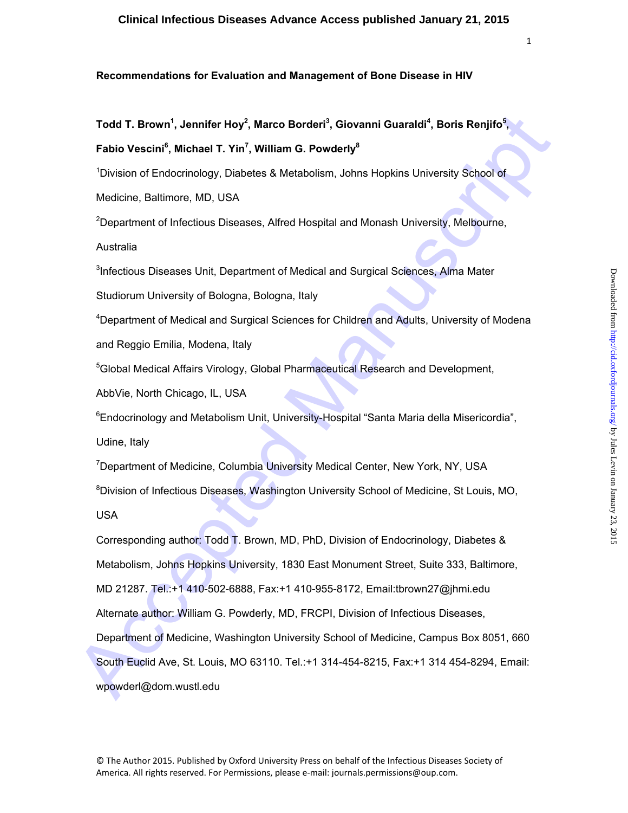## **Recommendations for Evaluation and Management of Bone Disease in HIV**

Todd T. Brown<sup>1</sup>, Jennifer Hoy<sup>2</sup>, Marco Borderi<sup>3</sup>, Giovanni Guaraldi<sup>4</sup>, Boris Renjifo<sup>5</sup>, **Fabio Vescini<sup>6</sup> , Michael T. Yin7 , William G. Powderly8**

<sup>1</sup>Division of Endocrinology, Diabetes & Metabolism, Johns Hopkins University School of

Medicine, Baltimore, MD, USA

<sup>2</sup>Department of Infectious Diseases, Alfred Hospital and Monash University, Melbourne,

Australia

<sup>3</sup>Infectious Diseases Unit, Department of Medical and Surgical Sciences, Alma Mater

Studiorum University of Bologna, Bologna, Italy

<sup>4</sup>Department of Medical and Surgical Sciences for Children and Adults, University of Modena

and Reggio Emilia, Modena, Italy

<sup>5</sup>Global Medical Affairs Virology, Global Pharmaceutical Research and Development,

AbbVie, North Chicago, IL, USA

<sup>6</sup>Endocrinology and Metabolism Unit, University-Hospital "Santa Maria della Misericordia", Udine, Italy

<sup>7</sup>Department of Medicine, Columbia University Medical Center, New York, NY, USA

<sup>8</sup>Division of Infectious Diseases, Washington University School of Medicine, St Louis, MO,

USA

Todd T. Brown<sup>1</sup>, Jennifer Hoy<sup>2</sup>, Marco Borderi<sup>9</sup>, Giovanni Guaraldi<sup>4</sup>, Boris Renjifo<sup>5</sup>,<br>
Fabio Vescini<sup>4</sup>, Michael T. Yin<sup>7</sup>, William G. Powderly<sup>2</sup><br>
<sup>2</sup>Dwision of Endocrinology, Diabeles & Metabolism, Johns Hopkins U Corresponding author: Todd T. Brown, MD, PhD, Division of Endocrinology, Diabetes & Metabolism, Johns Hopkins University, 1830 East Monument Street, Suite 333, Baltimore, MD 21287. Tel.:+1 410-502-6888, Fax:+1 410-955-8172, Email:tbrown27@jhmi.edu Alternate author: William G. Powderly, MD, FRCPI, Division of Infectious Diseases, Department of Medicine, Washington University School of Medicine, Campus Box 8051, 660 South Euclid Ave, St. Louis, MO 63110. Tel.:+1 314-454-8215, Fax:+1 314 454-8294, Email: wpowderl@dom.wustl.edu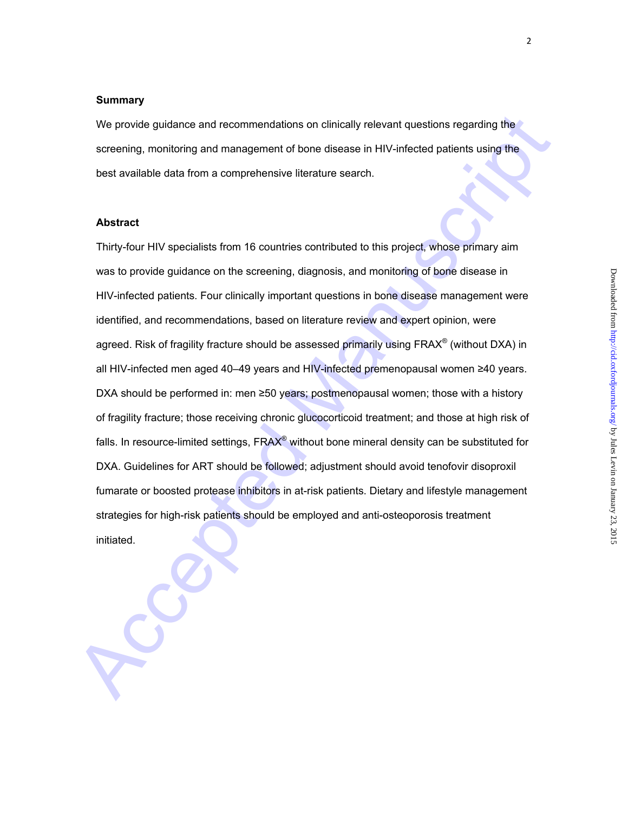#### **Summary**

We provide guidance and recommendations on clinically relevant questions regarding the screening, monitoring and management of bone disease in HIV-infected patients using the best available data from a comprehensive literature search.

## **Abstract**

We provide guidance and recommendations on clinically relevant questions regarding the<br>screening, monitoring and management of bone disease in HIV-infected patients using the<br>best available data from a comprehensive litera Thirty-four HIV specialists from 16 countries contributed to this project, whose primary aim was to provide guidance on the screening, diagnosis, and monitoring of bone disease in HIV-infected patients. Four clinically important questions in bone disease management were identified, and recommendations, based on literature review and expert opinion, were agreed. Risk of fragility fracture should be assessed primarily using FRAX<sup>®</sup> (without DXA) in all HIV-infected men aged 40–49 years and HIV-infected premenopausal women ≥40 years. DXA should be performed in: men ≥50 years; postmenopausal women; those with a history of fragility fracture; those receiving chronic glucocorticoid treatment; and those at high risk of falls. In resource-limited settings, FRAX<sup>®</sup> without bone mineral density can be substituted for DXA. Guidelines for ART should be followed; adjustment should avoid tenofovir disoproxil fumarate or boosted protease inhibitors in at-risk patients. Dietary and lifestyle management strategies for high-risk patients should be employed and anti-osteoporosis treatment initiated.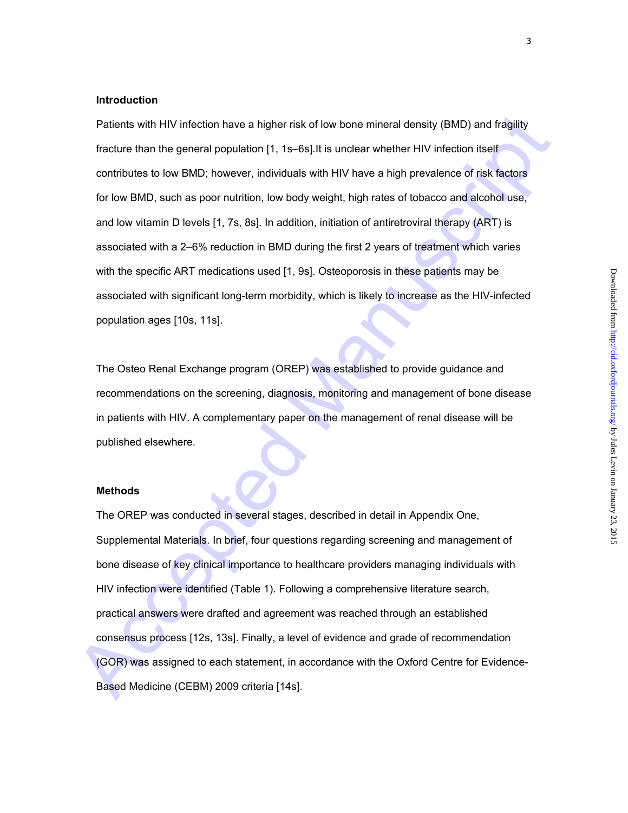## **Introduction**

Palents with HIV infection have a higher risk of low bone mineral density (BMD) and fragility<br>fracture than the general population [1, 15-68].It is undear whether HIV infection liself<br>contributes to low BMD; however, indiv Patients with HIV infection have a higher risk of low bone mineral density (BMD) and fragility fracture than the general population [1, 1s–6s]. It is unclear whether HIV infection itself contributes to low BMD; however, individuals with HIV have a high prevalence of risk factors for low BMD, such as poor nutrition, low body weight, high rates of tobacco and alcohol use, and low vitamin D levels [1, 7s, 8s]. In addition, initiation of antiretroviral therapy (ART) is associated with a 2–6% reduction in BMD during the first 2 years of treatment which varies with the specific ART medications used [1, 9s]. Osteoporosis in these patients may be associated with significant long-term morbidity, which is likely to increase as the HIV-infected population ages [10s, 11s].

The Osteo Renal Exchange program (OREP) was established to provide guidance and recommendations on the screening, diagnosis, monitoring and management of bone disease in patients with HIV. A complementary paper on the management of renal disease will be published elsewhere.

## **Methods**

The OREP was conducted in several stages, described in detail in Appendix One, Supplemental Materials. In brief, four questions regarding screening and management of bone disease of key clinical importance to healthcare providers managing individuals with HIV infection were identified (Table 1). Following a comprehensive literature search, practical answers were drafted and agreement was reached through an established consensus process [12s, 13s]. Finally, a level of evidence and grade of recommendation (GOR) was assigned to each statement, in accordance with the Oxford Centre for Evidence-Based Medicine (CEBM) 2009 criteria [14s].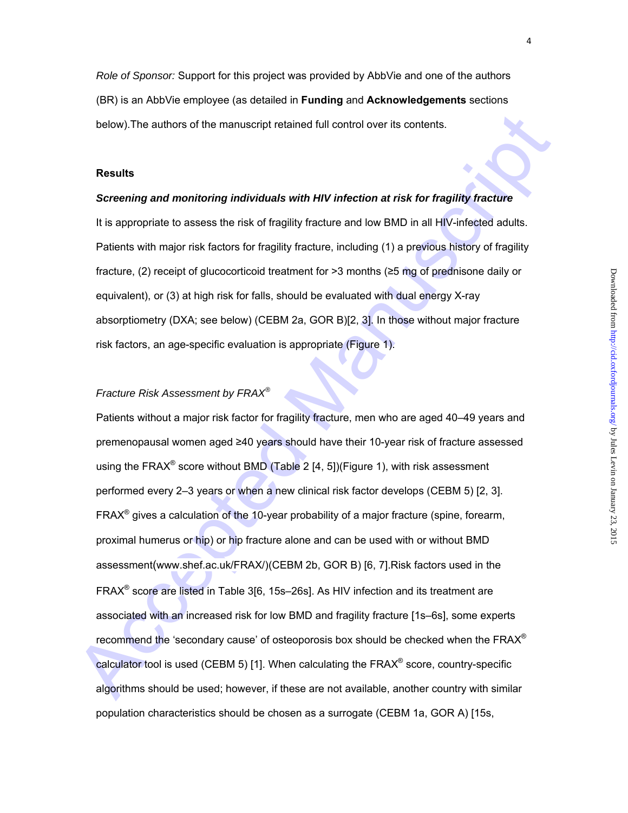*Role of Sponsor:* Support for this project was provided by AbbVie and one of the authors

4

(BR) is an AbbVie employee (as detailed in **Funding** and **Acknowledgements** sections below).The authors of the manuscript retained full control over its contents.

#### **Results**

## *Screening and monitoring individuals with HIV infection at risk for fragility fracture*

It is appropriate to assess the risk of fragility fracture and low BMD in all HIV-infected adults. Patients with major risk factors for fragility fracture, including (1) a previous history of fragility fracture, (2) receipt of glucocorticoid treatment for >3 months (≥5 mg of prednisone daily or equivalent), or (3) at high risk for falls, should be evaluated with dual energy X-ray absorptiometry (DXA; see below) (CEBM 2a, GOR B)[2, 3]. In those without major fracture risk factors, an age-specific evaluation is appropriate (Figure 1).

## *Fracture Risk Assessment by FRAX®*

below). The authors of the manuscript retained full control over its contents.<br> **Results**<br> **Screening and monitoring individuals with HIV infection at risk for fragility fracture**<br>
It is appropriate to assess the risk of f Patients without a major risk factor for fragility fracture, men who are aged 40–49 years and premenopausal women aged ≥40 years should have their 10-year risk of fracture assessed using the FRAX<sup>®</sup> score without BMD (Table 2 [4, 5])(Figure 1), with risk assessment performed every 2–3 years or when a new clinical risk factor develops (CEBM 5) [2, 3]. FRAX<sup>®</sup> gives a calculation of the 10-year probability of a major fracture (spine, forearm, proximal humerus or hip) or hip fracture alone and can be used with or without BMD assessment(www.shef.ac.uk/FRAX/)(CEBM 2b, GOR B) [6, 7].Risk factors used in the FRAX® score are listed in Table 3[6, 15s–26s]. As HIV infection and its treatment are associated with an increased risk for low BMD and fragility fracture [1s–6s], some experts recommend the 'secondary cause' of osteoporosis box should be checked when the  $FRAX^{\circledast}$ calculator tool is used (CEBM 5) [1]. When calculating the FRAX® score, country-specific algorithms should be used; however, if these are not available, another country with similar population characteristics should be chosen as a surrogate (CEBM 1a, GOR A) [15s,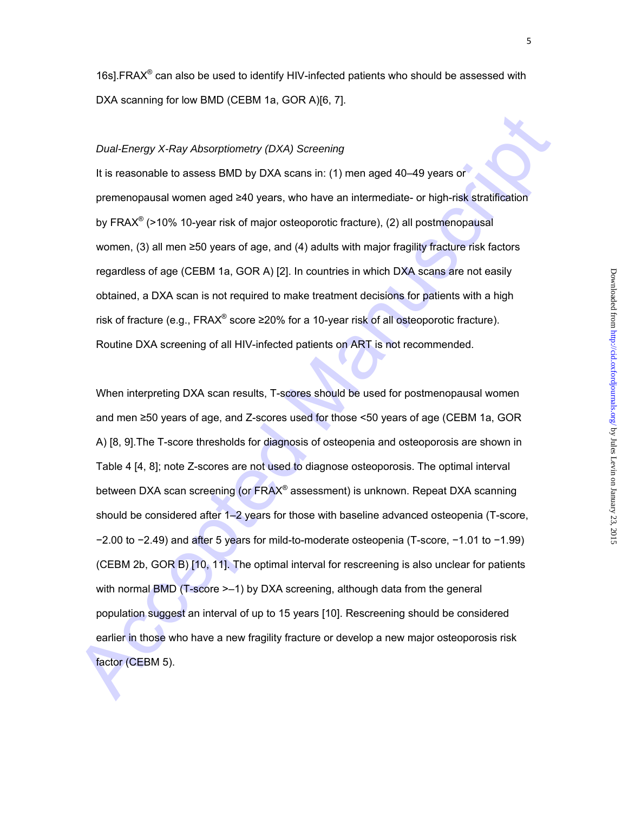16s].FRAX® can also be used to identify HIV-infected patients who should be assessed with DXA scanning for low BMD (CEBM 1a, GOR A)[6, 7].

#### *Dual-Energy X-Ray Absorptiometry (DXA) Screening*

It is reasonable to assess BMD by DXA scans in: (1) men aged 40-49 years or premenopausal women aged ≥40 years, who have an intermediate- or high-risk stratification by FRAX® (>10% 10-year risk of major osteoporotic fracture), (2) all postmenopausal women, (3) all men ≥50 years of age, and (4) adults with major fragility fracture risk factors regardless of age (CEBM 1a, GOR A) [2]. In countries in which DXA scans are not easily obtained, a DXA scan is not required to make treatment decisions for patients with a high risk of fracture (e.g., FRAX<sup>®</sup> score ≥20% for a 10-year risk of all osteoporotic fracture). Routine DXA screening of all HIV-infected patients on ART is not recommended.

Dual-Energy X-Ray Absorptiometry (DXA) Screening<br>
It is reasonable to assess BMD by DXA scans in: (1) men aged 40–49 years or<br>
premenopotatal women aged ≥40 years, who have an intermediate- or high-risk stratification<br>
by When interpreting DXA scan results, T-scores should be used for postmenopausal women and men ≥50 years of age, and Z-scores used for those <50 years of age (CEBM 1a, GOR A) [8, 9].The T-score thresholds for diagnosis of osteopenia and osteoporosis are shown in Table 4 [4, 8]; note Z-scores are not used to diagnose osteoporosis. The optimal interval between DXA scan screening (or FRAX<sup>®</sup> assessment) is unknown. Repeat DXA scanning should be considered after 1–2 years for those with baseline advanced osteopenia (T-score, −2.00 to −2.49) and after 5 years for mild-to-moderate osteopenia (T-score, −1.01 to −1.99) (CEBM 2b, GOR B) [10, 11]. The optimal interval for rescreening is also unclear for patients with normal BMD (T-score  $\geq -1$ ) by DXA screening, although data from the general population suggest an interval of up to 15 years [10]. Rescreening should be considered earlier in those who have a new fragility fracture or develop a new major osteoporosis risk factor (CEBM 5).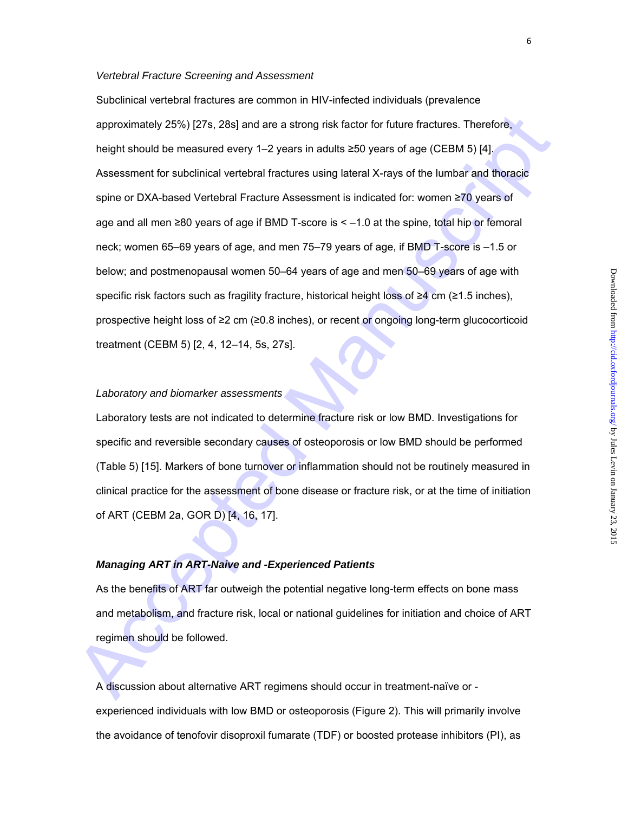#### *Vertebral Fracture Screening and Assessment*

approximately 25%) (27s, 28s) and are a strong risk factor for future fractures. Therefore,<br>helght should be measured every 1–2 years in adults ≥50 years of age (CEDM 5) [4].<br>Assessment for subclinical vertebral fractures Subclinical vertebral fractures are common in HIV-infected individuals (prevalence approximately 25%) [27s, 28s] and are a strong risk factor for future fractures. Therefore, height should be measured every 1–2 years in adults ≥50 years of age (CEBM 5) [4]. Assessment for subclinical vertebral fractures using lateral X-rays of the lumbar and thoracic spine or DXA-based Vertebral Fracture Assessment is indicated for: women ≥70 years of age and all men ≥80 years of age if BMD T-score is < –1.0 at the spine, total hip or femoral neck; women 65–69 years of age, and men 75–79 years of age, if BMD T-score is –1.5 or below; and postmenopausal women 50–64 years of age and men 50–69 years of age with specific risk factors such as fragility fracture, historical height loss of ≥4 cm (≥1.5 inches), prospective height loss of ≥2 cm (≥0.8 inches), or recent or ongoing long-term glucocorticoid treatment (CEBM 5) [2, 4, 12–14, 5s, 27s].

## *Laboratory and biomarker assessments*

Laboratory tests are not indicated to determine fracture risk or low BMD. Investigations for specific and reversible secondary causes of osteoporosis or low BMD should be performed (Table 5) [15]. Markers of bone turnover or inflammation should not be routinely measured in clinical practice for the assessment of bone disease or fracture risk, or at the time of initiation of ART (CEBM 2a, GOR D) [4, 16, 17].

## *Managing ART in ART-Naive and -Experienced Patients*

As the benefits of ART far outweigh the potential negative long-term effects on bone mass and metabolism, and fracture risk, local or national guidelines for initiation and choice of ART regimen should be followed.

A discussion about alternative ART regimens should occur in treatment-naïve or experienced individuals with low BMD or osteoporosis (Figure 2). This will primarily involve the avoidance of tenofovir disoproxil fumarate (TDF) or boosted protease inhibitors (PI), as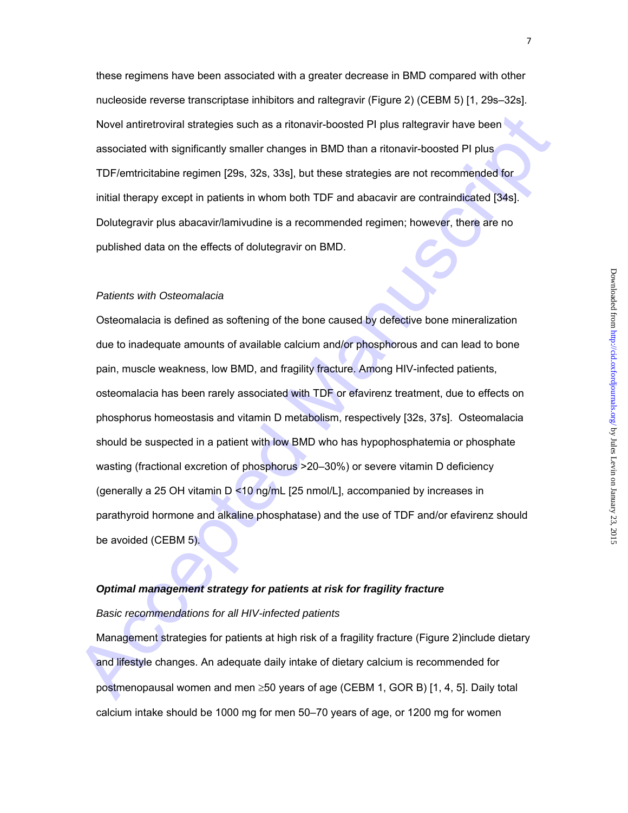these regimens have been associated with a greater decrease in BMD compared with other nucleoside reverse transcriptase inhibitors and raltegravir (Figure 2) (CEBM 5) [1, 29s–32s]. Novel antiretroviral strategies such as a ritonavir-boosted PI plus raltegravir have been associated with significantly smaller changes in BMD than a ritonavir-boosted PI plus TDF/emtricitabine regimen [29s, 32s, 33s], but these strategies are not recommended for initial therapy except in patients in whom both TDF and abacavir are contraindicated [34s]. Dolutegravir plus abacavir/lamivudine is a recommended regimen; however, there are no published data on the effects of dolutegravir on BMD.

#### *Patients with Osteomalacia*

Novel antiretrowial strategies such as a ritonavi-boosted PI plus rattegravir have been<br>associated with significantly smaller changes in BMD than a ritonavir-boosted PI plus<br>TDF/emtricitable regimen [29s, 32s, 33s], but th Osteomalacia is defined as softening of the bone caused by defective bone mineralization due to inadequate amounts of available calcium and/or phosphorous and can lead to bone pain, muscle weakness, low BMD, and fragility fracture. Among HIV-infected patients, osteomalacia has been rarely associated with TDF or efavirenz treatment, due to effects on phosphorus homeostasis and vitamin D metabolism, respectively [32s, 37s]. Osteomalacia should be suspected in a patient with low BMD who has hypophosphatemia or phosphate wasting (fractional excretion of phosphorus >20–30%) or severe vitamin D deficiency (generally a 25 OH vitamin D <10 ng/mL [25 nmol/L], accompanied by increases in parathyroid hormone and alkaline phosphatase) and the use of TDF and/or efavirenz should be avoided (CEBM 5).

# *Optimal management strategy for patients at risk for fragility fracture*

#### *Basic recommendations for all HIV-infected patients*

Management strategies for patients at high risk of a fragility fracture (Figure 2)include dietary and lifestyle changes. An adequate daily intake of dietary calcium is recommended for postmenopausal women and men  $\geq$ 50 years of age (CEBM 1, GOR B) [1, 4, 5]. Daily total calcium intake should be 1000 mg for men 50–70 years of age, or 1200 mg for women

7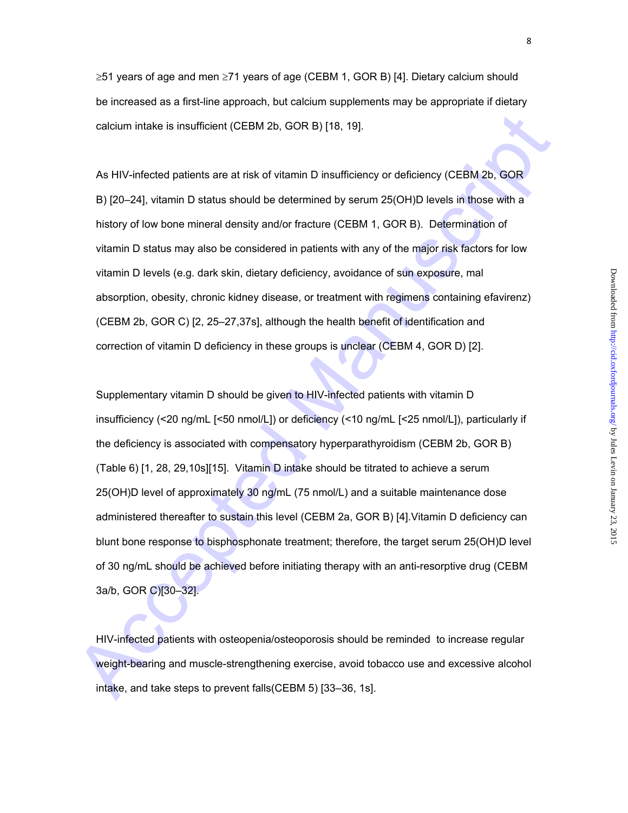$\geq$ 51 years of age and men  $\geq$ 71 years of age (CEBM 1, GOR B) [4]. Dietary calcium should be increased as a first-line approach, but calcium supplements may be appropriate if dietary calcium intake is insufficient (CEBM 2b, GOR B) [18, 19].

As HIV-infected patients are at risk of vitamin D insufficiency or deficiency (CEBM 2b, GOR B) [20–24], vitamin D status should be determined by serum 25(OH)D levels in those with a history of low bone mineral density and/or fracture (CEBM 1, GOR B). Determination of vitamin D status may also be considered in patients with any of the major risk factors for low vitamin D levels (e.g. dark skin, dietary deficiency, avoidance of sun exposure, mal absorption, obesity, chronic kidney disease, or treatment with regimens containing efavirenz) (CEBM 2b, GOR C) [2, 25–27,37s], although the health benefit of identification and correction of vitamin D deficiency in these groups is unclear (CEBM 4, GOR D) [2].

calcium intake is insufficient (CEBM 2b, GOR B) [18, 19].<br>
As HIV-infected patients are at risk of vitamin D insufficiency or deficiency (CEBM 2b, GOR<br>
B) [20–24], vitamin D status should be determined by serum 25(OH)D lev Supplementary vitamin D should be given to HIV-infected patients with vitamin D insufficiency (<20 ng/mL [<50 nmol/L]) or deficiency (<10 ng/mL [<25 nmol/L]), particularly if the deficiency is associated with compensatory hyperparathyroidism (CEBM 2b, GOR B) (Table 6) [1, 28, 29,10s][15]. Vitamin D intake should be titrated to achieve a serum 25(OH)D level of approximately 30 ng/mL (75 nmol/L) and a suitable maintenance dose administered thereafter to sustain this level (CEBM 2a, GOR B) [4].Vitamin D deficiency can blunt bone response to bisphosphonate treatment; therefore, the target serum 25(OH)D level of 30 ng/mL should be achieved before initiating therapy with an anti-resorptive drug (CEBM 3a/b, GOR C)[30–32].

HIV-infected patients with osteopenia/osteoporosis should be reminded to increase regular weight-bearing and muscle-strengthening exercise, avoid tobacco use and excessive alcohol intake, and take steps to prevent falls(CEBM 5) [33–36, 1s].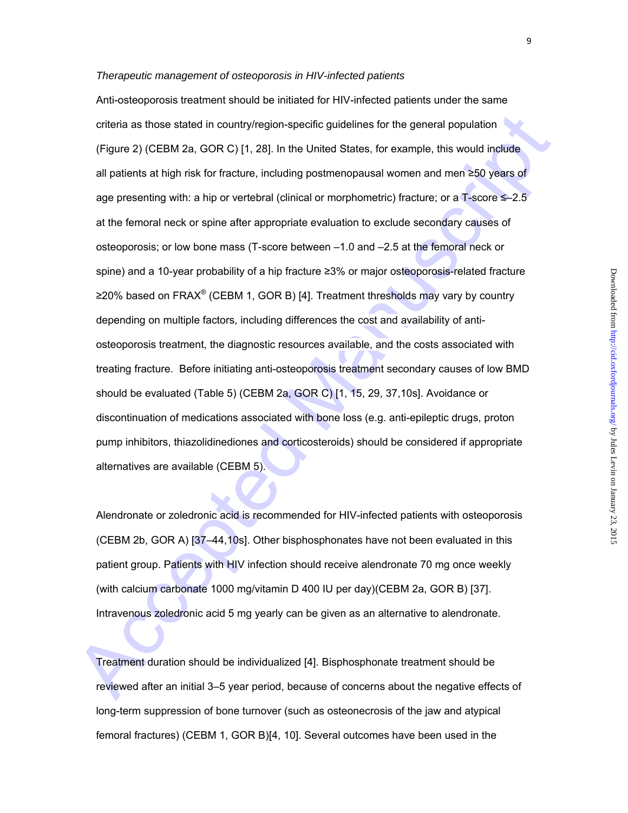#### *Therapeutic management of osteoporosis in HIV-infected patients*

criteria as those stated in country/region-specific guidelines for the general population<br>
(Figure 2) (CEBM 2a, GOR C) [1, 28]. In the United States, for example, this would include<br>
all patients at high risk for fracture Anti-osteoporosis treatment should be initiated for HIV-infected patients under the same criteria as those stated in country/region-specific guidelines for the general population (Figure 2) (CEBM 2a, GOR C) [1, 28]. In the United States, for example, this would include all patients at high risk for fracture, including postmenopausal women and men ≥50 years of age presenting with: a hip or vertebral (clinical or morphometric) fracture; or a T-score ≤–2.5 at the femoral neck or spine after appropriate evaluation to exclude secondary causes of osteoporosis; or low bone mass (T-score between –1.0 and –2.5 at the femoral neck or spine) and a 10-year probability of a hip fracture ≥3% or major osteoporosis-related fracture ≥20% based on FRAX<sup>®</sup> (CEBM 1, GOR B) [4]. Treatment thresholds may vary by country depending on multiple factors, including differences the cost and availability of antiosteoporosis treatment, the diagnostic resources available, and the costs associated with treating fracture. Before initiating anti-osteoporosis treatment secondary causes of low BMD should be evaluated (Table 5) (CEBM 2a, GOR C) [1, 15, 29, 37,10s]. Avoidance or discontinuation of medications associated with bone loss (e.g. anti-epileptic drugs, proton pump inhibitors, thiazolidinediones and corticosteroids) should be considered if appropriate alternatives are available (CEBM 5).

Alendronate or zoledronic acid is recommended for HIV-infected patients with osteoporosis (CEBM 2b, GOR A) [37–44,10s]. Other bisphosphonates have not been evaluated in this patient group. Patients with HIV infection should receive alendronate 70 mg once weekly (with calcium carbonate 1000 mg/vitamin D 400 IU per day)(CEBM 2a, GOR B) [37]. Intravenous zoledronic acid 5 mg yearly can be given as an alternative to alendronate.

Treatment duration should be individualized [4]. Bisphosphonate treatment should be reviewed after an initial 3–5 year period, because of concerns about the negative effects of long-term suppression of bone turnover (such as osteonecrosis of the jaw and atypical femoral fractures) (CEBM 1, GOR B)[4, 10]. Several outcomes have been used in the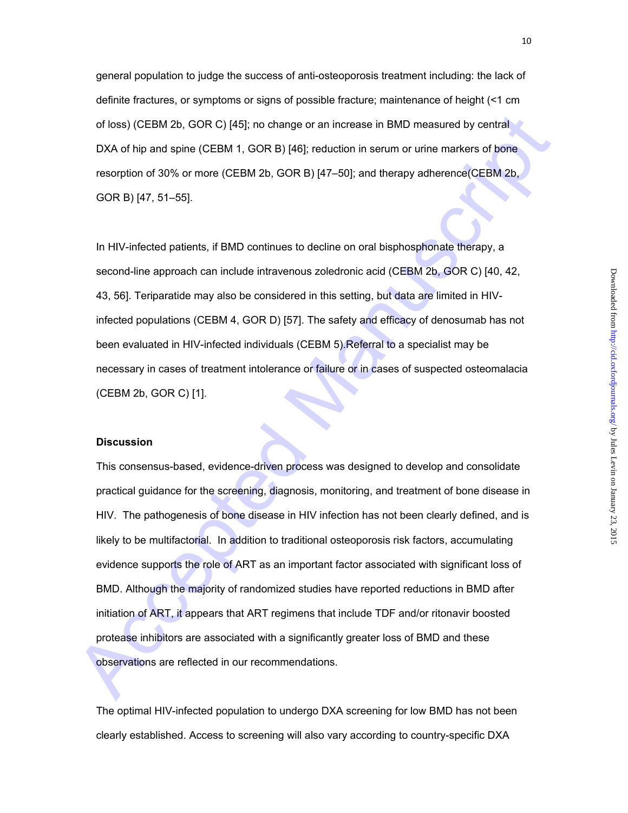general population to judge the success of anti-osteoporosis treatment including: the lack of definite fractures, or symptoms or signs of possible fracture; maintenance of height (<1 cm of loss) (CEBM 2b, GOR C) [45]; no change or an increase in BMD measured by central DXA of hip and spine (CEBM 1, GOR B) [46]; reduction in serum or urine markers of bone resorption of 30% or more (CEBM 2b, GOR B) [47–50]; and therapy adherence(CEBM 2b, GOR B) [47, 51–55].

In HIV-infected patients, if BMD continues to decline on oral bisphosphonate therapy, a second-line approach can include intravenous zoledronic acid (CEBM 2b, GOR C) [40, 42, 43, 56]. Teriparatide may also be considered in this setting, but data are limited in HIVinfected populations (CEBM 4, GOR D) [57]. The safety and efficacy of denosumab has not been evaluated in HIV-infected individuals (CEBM 5).Referral to a specialist may be necessary in cases of treatment intolerance or failure or in cases of suspected osteomalacia (CEBM 2b, GOR C) [1].

## **Discussion**

of loss) (CEBM 2b, GOR C) [45]: no change or an increase in BMD measured by contral<br>DXA of hip and spine (CEBM 1, GOR B) [45]: reduction in serum or unine markers of bone<br>resorption of 30% or more (CEBM 2b, GOR B) [47-50]: This consensus-based, evidence-driven process was designed to develop and consolidate practical guidance for the screening, diagnosis, monitoring, and treatment of bone disease in HIV. The pathogenesis of bone disease in HIV infection has not been clearly defined, and is likely to be multifactorial. In addition to traditional osteoporosis risk factors, accumulating evidence supports the role of ART as an important factor associated with significant loss of BMD. Although the majority of randomized studies have reported reductions in BMD after initiation of ART, it appears that ART regimens that include TDF and/or ritonavir boosted protease inhibitors are associated with a significantly greater loss of BMD and these observations are reflected in our recommendations.

The optimal HIV-infected population to undergo DXA screening for low BMD has not been clearly established. Access to screening will also vary according to country-specific DXA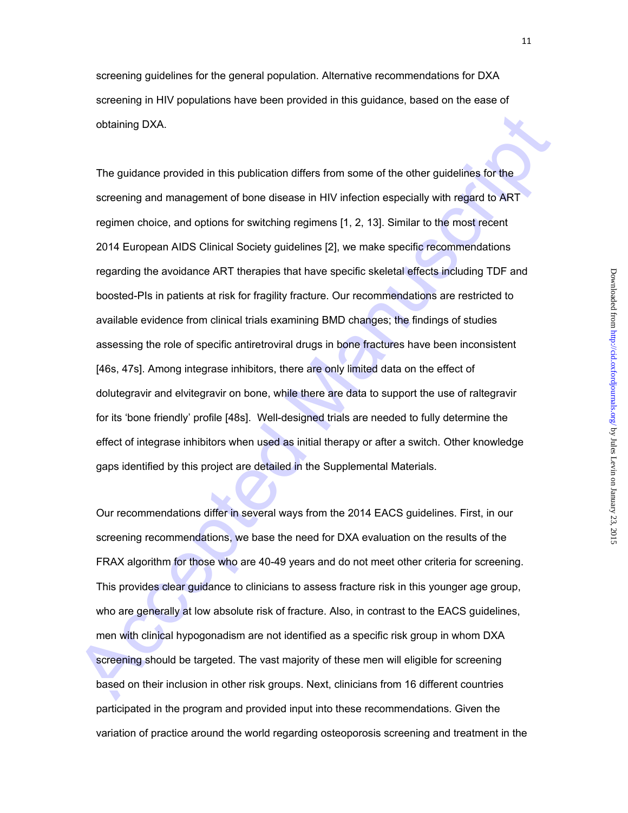screening guidelines for the general population. Alternative recommendations for DXA screening in HIV populations have been provided in this guidance, based on the ease of obtaining DXA.

obtaining DXA.<br>The guidance provided in this publication differs from some of the other guidalines for the<br>screening and management of bone disease in HIV infection especially with regard to ART<br>regimen choice, and options The guidance provided in this publication differs from some of the other guidelines for the screening and management of bone disease in HIV infection especially with regard to ART regimen choice, and options for switching regimens [1, 2, 13]. Similar to the most recent 2014 European AIDS Clinical Society guidelines [2], we make specific recommendations regarding the avoidance ART therapies that have specific skeletal effects including TDF and boosted-PIs in patients at risk for fragility fracture. Our recommendations are restricted to available evidence from clinical trials examining BMD changes; the findings of studies assessing the role of specific antiretroviral drugs in bone fractures have been inconsistent [46s, 47s]. Among integrase inhibitors, there are only limited data on the effect of dolutegravir and elvitegravir on bone, while there are data to support the use of raltegravir for its 'bone friendly' profile [48s]. Well-designed trials are needed to fully determine the effect of integrase inhibitors when used as initial therapy or after a switch. Other knowledge gaps identified by this project are detailed in the Supplemental Materials.

Our recommendations differ in several ways from the 2014 EACS guidelines. First, in our screening recommendations, we base the need for DXA evaluation on the results of the FRAX algorithm for those who are 40-49 years and do not meet other criteria for screening. This provides clear guidance to clinicians to assess fracture risk in this younger age group, who are generally at low absolute risk of fracture. Also, in contrast to the EACS guidelines, men with clinical hypogonadism are not identified as a specific risk group in whom DXA screening should be targeted. The vast majority of these men will eligible for screening based on their inclusion in other risk groups. Next, clinicians from 16 different countries participated in the program and provided input into these recommendations. Given the variation of practice around the world regarding osteoporosis screening and treatment in the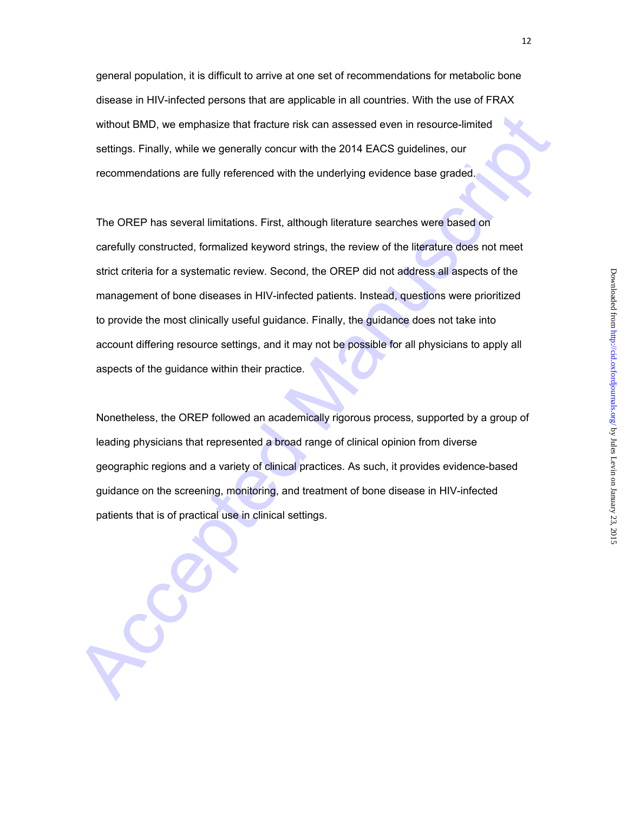general population, it is difficult to arrive at one set of recommendations for metabolic bone disease in HIV-infected persons that are applicable in all countries. With the use of FRAX without BMD, we emphasize that fracture risk can assessed even in resource-limited settings. Finally, while we generally concur with the 2014 EACS guidelines, our recommendations are fully referenced with the underlying evidence base graded.

without BMD, we emphasize that fracture risk can assessed even in resource-limited<br>settings. Finally, while we generally concur with the 2014 EACS guidelines, our<br>recommendations are fully referenced with the underlying ev The OREP has several limitations. First, although literature searches were based on carefully constructed, formalized keyword strings, the review of the literature does not meet strict criteria for a systematic review. Second, the OREP did not address all aspects of the management of bone diseases in HIV-infected patients. Instead, questions were prioritized to provide the most clinically useful guidance. Finally, the guidance does not take into account differing resource settings, and it may not be possible for all physicians to apply all aspects of the guidance within their practice.

Nonetheless, the OREP followed an academically rigorous process, supported by a group of leading physicians that represented a broad range of clinical opinion from diverse geographic regions and a variety of clinical practices. As such, it provides evidence-based guidance on the screening, monitoring, and treatment of bone disease in HIV-infected patients that is of practical use in clinical settings.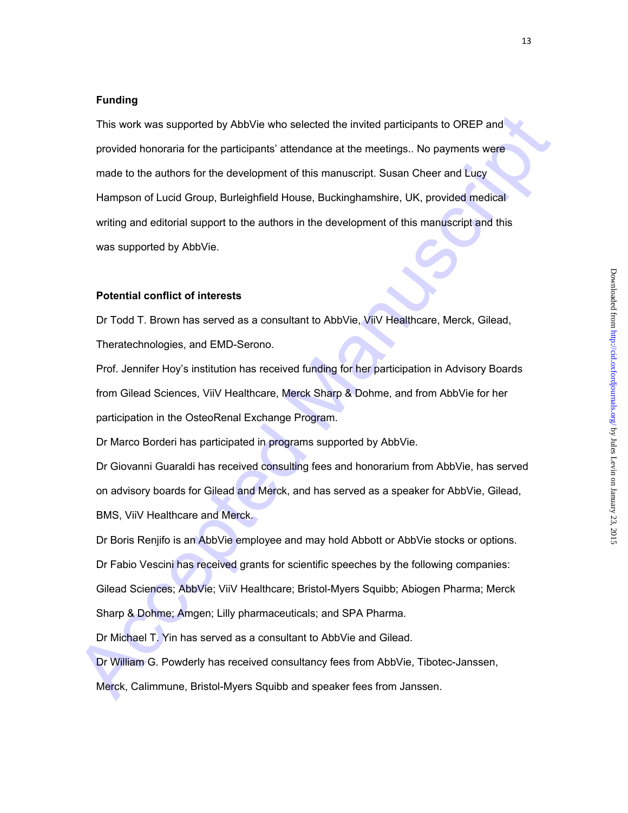## **Funding**

This work was supported by AbbVie who selected the invited participants to OREP and<br>provided honoraria for the participants' attendance at the meetings. No payments were<br>made to the authors for the development of this manu This work was supported by AbbVie who selected the invited participants to OREP and provided honoraria for the participants' attendance at the meetings.. No payments were made to the authors for the development of this manuscript. Susan Cheer and Lucy Hampson of Lucid Group, Burleighfield House, Buckinghamshire, UK, provided medical writing and editorial support to the authors in the development of this manuscript and this was supported by AbbVie.

## **Potential conflict of interests**

Dr Todd T. Brown has served as a consultant to AbbVie, ViiV Healthcare, Merck, Gilead, Theratechnologies, and EMD-Serono.

Prof. Jennifer Hoy's institution has received funding for her participation in Advisory Boards from Gilead Sciences, ViiV Healthcare, Merck Sharp & Dohme, and from AbbVie for her participation in the OsteoRenal Exchange Program.

Dr Marco Borderi has participated in programs supported by AbbVie.

Dr Giovanni Guaraldi has received consulting fees and honorarium from AbbVie, has served on advisory boards for Gilead and Merck, and has served as a speaker for AbbVie, Gilead, BMS, ViiV Healthcare and Merck.

Dr Boris Renjifo is an AbbVie employee and may hold Abbott or AbbVie stocks or options.

Dr Fabio Vescini has received grants for scientific speeches by the following companies:

Gilead Sciences; AbbVie; ViiV Healthcare; Bristol-Myers Squibb; Abiogen Pharma; Merck

Sharp & Dohme; Amgen; Lilly pharmaceuticals; and SPA Pharma.

Dr Michael T. Yin has served as a consultant to AbbVie and Gilead.

Dr William G. Powderly has received consultancy fees from AbbVie, Tibotec-Janssen,

Merck, Calimmune, Bristol-Myers Squibb and speaker fees from Janssen.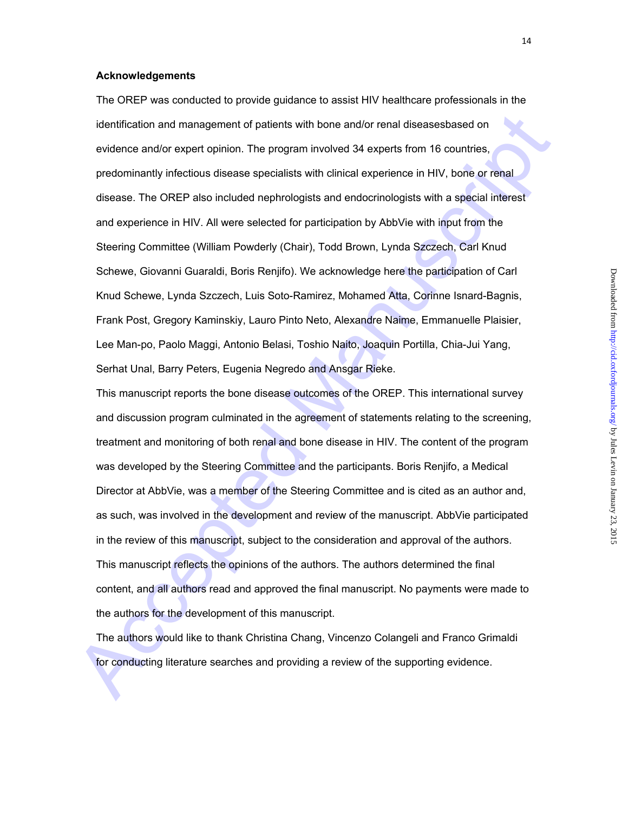## **Acknowledgements**

identification and management of patients with bone and/or renail diseasesbased on<br>evidence and/or expert opinion. The program involved 34 experts from 16 countries,<br>predominantly infectious disease specialists with critic The OREP was conducted to provide guidance to assist HIV healthcare professionals in the identification and management of patients with bone and/or renal diseasesbased on evidence and/or expert opinion. The program involved 34 experts from 16 countries, predominantly infectious disease specialists with clinical experience in HIV, bone or renal disease. The OREP also included nephrologists and endocrinologists with a special interest and experience in HIV. All were selected for participation by AbbVie with input from the Steering Committee (William Powderly (Chair), Todd Brown, Lynda Szczech, Carl Knud Schewe, Giovanni Guaraldi, Boris Renjifo). We acknowledge here the participation of Carl Knud Schewe, Lynda Szczech, Luis Soto-Ramirez, Mohamed Atta, Corinne Isnard-Bagnis, Frank Post, Gregory Kaminskiy, Lauro Pinto Neto, Alexandre Naime, Emmanuelle Plaisier, Lee Man-po, Paolo Maggi, Antonio Belasi, Toshio Naito, Joaquin Portilla, Chia-Jui Yang, Serhat Unal, Barry Peters, Eugenia Negredo and Ansgar Rieke.

This manuscript reports the bone disease outcomes of the OREP. This international survey and discussion program culminated in the agreement of statements relating to the screening, treatment and monitoring of both renal and bone disease in HIV. The content of the program was developed by the Steering Committee and the participants. Boris Renjifo, a Medical Director at AbbVie, was a member of the Steering Committee and is cited as an author and, as such, was involved in the development and review of the manuscript. AbbVie participated in the review of this manuscript, subject to the consideration and approval of the authors. This manuscript reflects the opinions of the authors. The authors determined the final content, and all authors read and approved the final manuscript. No payments were made to the authors for the development of this manuscript.

The authors would like to thank Christina Chang, Vincenzo Colangeli and Franco Grimaldi for conducting literature searches and providing a review of the supporting evidence.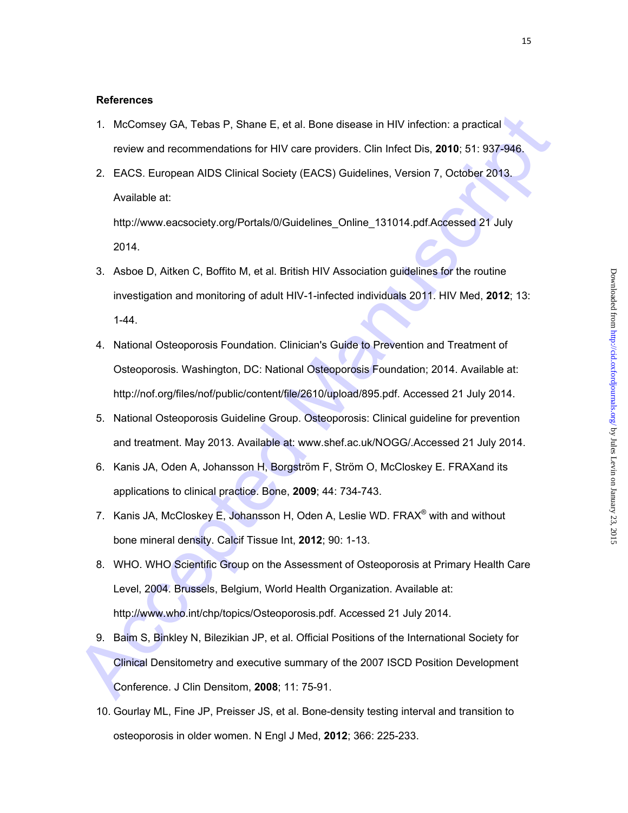## **References**

- 1. McComsey GA, Tebas P, Shane E, et al. Bone disease in HIV infection: a practical review and recommendations for HIV care providers. Clin Infect Dis, **2010**; 51: 937-946.
- 2. EACS. European AIDS Clinical Society (EACS) Guidelines, Version 7, October 2013. Available at:

http://www.eacsociety.org/Portals/0/Guidelines\_Online\_131014.pdf.Accessed 21 July 2014.

- 3. Asboe D, Aitken C, Boffito M, et al. British HIV Association guidelines for the routine investigation and monitoring of adult HIV-1-infected individuals 2011. HIV Med, **2012**; 13: 1-44.
- 4. National Osteoporosis Foundation. Clinician's Guide to Prevention and Treatment of Osteoporosis. Washington, DC: National Osteoporosis Foundation; 2014. Available at: http://nof.org/files/nof/public/content/file/2610/upload/895.pdf. Accessed 21 July 2014.
- 5. National Osteoporosis Guideline Group. Osteoporosis: Clinical guideline for prevention and treatment. May 2013. Available at: www.shef.ac.uk/NOGG/.Accessed 21 July 2014.
- 6. Kanis JA, Oden A, Johansson H, Borgström F, Ström O, McCloskey E. FRAXand its applications to clinical practice. Bone, **2009**; 44: 734-743.
- 7. Kanis JA, McCloskey E, Johansson H, Oden A, Leslie WD. FRAX<sup>®</sup> with and without bone mineral density. Calcif Tissue Int, **2012**; 90: 1-13.
- 1. McComsey GA, Tobas P., Shane E, et al. Bone disease in HIV infection: a practical<br>review and recommendations for HIV care providers. Clin Infect Dis, 2010; 51: 937-948;<br>2. EACS: European AIDS Clinical Society (EACS) Gui 8. WHO. WHO Scientific Group on the Assessment of Osteoporosis at Primary Health Care Level, 2004. Brussels, Belgium, World Health Organization. Available at: http://www.who.int/chp/topics/Osteoporosis.pdf. Accessed 21 July 2014.
	- 9. Baim S, Binkley N, Bilezikian JP, et al. Official Positions of the International Society for Clinical Densitometry and executive summary of the 2007 ISCD Position Development Conference. J Clin Densitom, **2008**; 11: 75-91.
	- 10. Gourlay ML, Fine JP, Preisser JS, et al. Bone-density testing interval and transition to osteoporosis in older women. N Engl J Med, **2012**; 366: 225-233.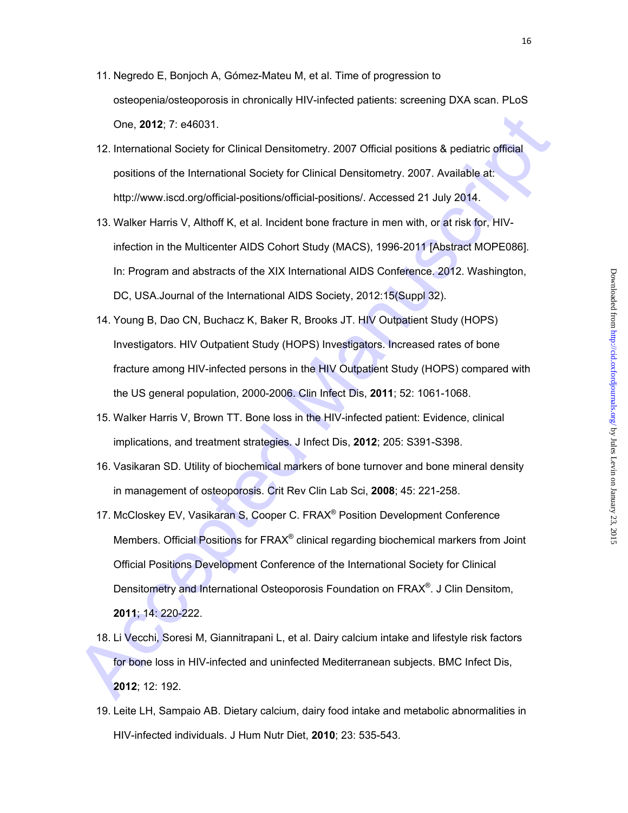- 11. Negredo E, Bonjoch A, Gómez-Mateu M, et al. Time of progression to osteopenia/osteoporosis in chronically HIV-infected patients: screening DXA scan. PLoS One, **2012**; 7: e46031.
- 12. International Society for Clinical Densitometry. 2007 Official positions & pediatric official positions of the International Society for Clinical Densitometry. 2007. Available at: http://www.iscd.org/official-positions/official-positions/. Accessed 21 July 2014.
- 13. Walker Harris V, Althoff K, et al. Incident bone fracture in men with, or at risk for, HIVinfection in the Multicenter AIDS Cohort Study (MACS), 1996-2011 [Abstract MOPE086]. In: Program and abstracts of the XIX International AIDS Conference. 2012. Washington, DC, USA.Journal of the International AIDS Society, 2012:15(Suppl 32).
- 14. Young B, Dao CN, Buchacz K, Baker R, Brooks JT. HIV Outpatient Study (HOPS) Investigators. HIV Outpatient Study (HOPS) Investigators. Increased rates of bone fracture among HIV-infected persons in the HIV Outpatient Study (HOPS) compared with the US general population, 2000-2006. Clin Infect Dis, **2011**; 52: 1061-1068.
- 15. Walker Harris V, Brown TT. Bone loss in the HIV-infected patient: Evidence, clinical implications, and treatment strategies. J Infect Dis, **2012**; 205: S391-S398.
- 16. Vasikaran SD. Utility of biochemical markers of bone turnover and bone mineral density in management of osteoporosis. Crit Rev Clin Lab Sci, **2008**; 45: 221-258.
- One, 2012; 7: e48031.<br>
12. International Society for Clinical Densitometry. 2007 Official positions & pediatric official<br>
positions of the International Society for Clinical Densitometry. 2007. Available at:<br>
http://www.is 17. McCloskey EV, Vasikaran S, Cooper C. FRAX® Position Development Conference Members. Official Positions for FRAX® clinical regarding biochemical markers from Joint Official Positions Development Conference of the International Society for Clinical Densitometry and International Osteoporosis Foundation on FRAX®. J Clin Densitom, **2011**; 14: 220-222.
	- 18. Li Vecchi, Soresi M, Giannitrapani L, et al. Dairy calcium intake and lifestyle risk factors for bone loss in HIV-infected and uninfected Mediterranean subjects. BMC Infect Dis, **2012**; 12: 192.
	- 19. Leite LH, Sampaio AB. Dietary calcium, dairy food intake and metabolic abnormalities in HIV-infected individuals. J Hum Nutr Diet, **2010**; 23: 535-543.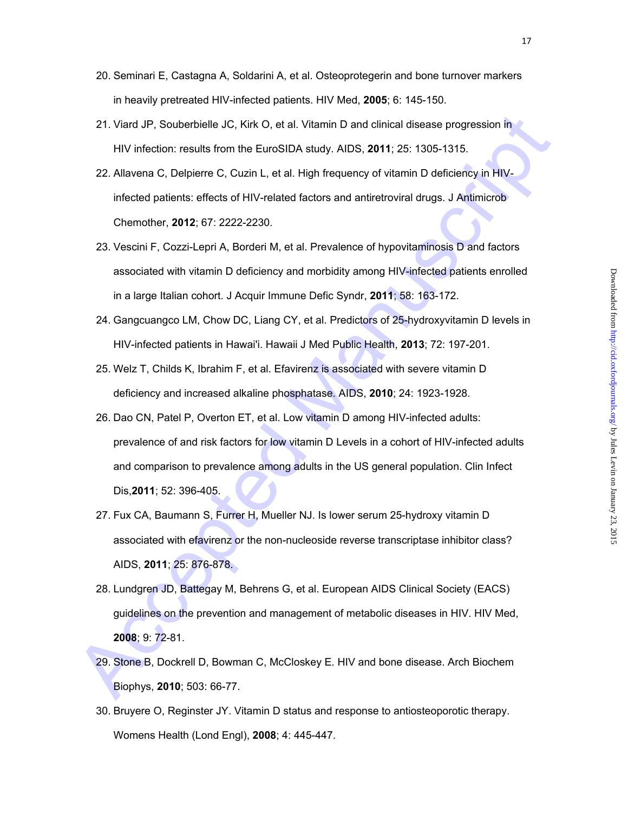- 20. Seminari E, Castagna A, Soldarini A, et al. Osteoprotegerin and bone turnover markers in heavily pretreated HIV-infected patients. HIV Med, **2005**; 6: 145-150.
- 21. Viard JP, Souberbielle JC, Kirk O, et al. Vitamin D and clinical disease progression in HIV infection: results from the EuroSIDA study. AIDS, **2011**; 25: 1305-1315.
- 22. Allavena C, Delpierre C, Cuzin L, et al. High frequency of vitamin D deficiency in HIVinfected patients: effects of HIV-related factors and antiretroviral drugs. J Antimicrob Chemother, **2012**; 67: 2222-2230.
- 23. Vescini F, Cozzi-Lepri A, Borderi M, et al. Prevalence of hypovitaminosis D and factors associated with vitamin D deficiency and morbidity among HIV-infected patients enrolled in a large Italian cohort. J Acquir Immune Defic Syndr, **2011**; 58: 163-172.
- 24. Gangcuangco LM, Chow DC, Liang CY, et al. Predictors of 25-hydroxyvitamin D levels in HIV-infected patients in Hawai'i. Hawaii J Med Public Health, **2013**; 72: 197-201.
- 25. Welz T, Childs K, Ibrahim F, et al. Efavirenz is associated with severe vitamin D deficiency and increased alkaline phosphatase. AIDS, **2010**; 24: 1923-1928.
- 21. Viard JP, Soubdribielle JC, Kirk O, et al. Vitamin D and clinical disease progression in<br>
HIV infection: results from the EuroSIDA study. AIDS, 2011; 25: 1305-1315.<br>
22. Allavena C, Deipierre C, Cuzin L, et al. High fr 26. Dao CN, Patel P, Overton ET, et al. Low vitamin D among HIV-infected adults: prevalence of and risk factors for low vitamin D Levels in a cohort of HIV-infected adults and comparison to prevalence among adults in the US general population. Clin Infect Dis,**2011**; 52: 396-405.
	- 27. Fux CA, Baumann S, Furrer H, Mueller NJ. Is lower serum 25-hydroxy vitamin D associated with efavirenz or the non-nucleoside reverse transcriptase inhibitor class? AIDS, **2011**; 25: 876-878.
	- 28. Lundgren JD, Battegay M, Behrens G, et al. European AIDS Clinical Society (EACS) guidelines on the prevention and management of metabolic diseases in HIV. HIV Med, **2008**; 9: 72-81.
	- 29. Stone B, Dockrell D, Bowman C, McCloskey E. HIV and bone disease. Arch Biochem Biophys, **2010**; 503: 66-77.
	- 30. Bruyere O, Reginster JY. Vitamin D status and response to antiosteoporotic therapy. Womens Health (Lond Engl), **2008**; 4: 445-447.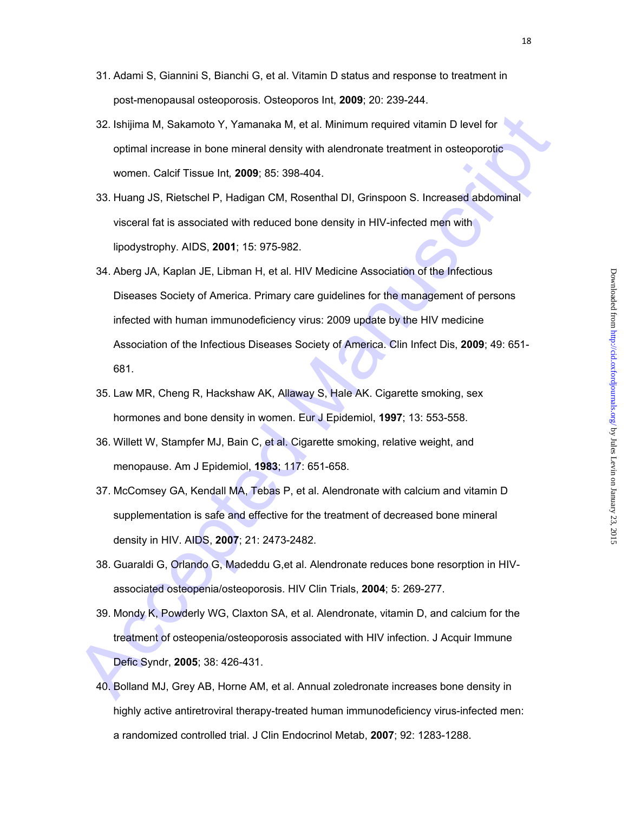- 31. Adami S, Giannini S, Bianchi G, et al. Vitamin D status and response to treatment in
- 32. Ishijima M, Sakamoto Y, Yamanaka M, et al. Minimum required vitamin D level for optimal increase in bone mineral density with alendronate treatment in osteoporotic women. Calcif Tissue Int*,* **2009**; 85: 398-404.

post-menopausal osteoporosis. Osteoporos Int, **2009**; 20: 239-244.

- 33. Huang JS, Rietschel P, Hadigan CM, Rosenthal DI, Grinspoon S. Increased abdominal visceral fat is associated with reduced bone density in HIV-infected men with lipodystrophy. AIDS, **2001**; 15: 975-982.
- 32. Ishljima M, Sakamolo Y, Yamanaka M, et al. Minimum required vitamin D level for<br>optimal increase in bone mineral density with alendronate treatment in osteoporotic<br>women. Calcif Tissue Int, 2009: 85: 398-404.<br>33. Huang 34. Aberg JA, Kaplan JE, Libman H, et al. HIV Medicine Association of the Infectious Diseases Society of America. Primary care guidelines for the management of persons infected with human immunodeficiency virus: 2009 update by the HIV medicine Association of the Infectious Diseases Society of America. Clin Infect Dis, **2009**; 49: 651- 681.
	- 35. Law MR, Cheng R, Hackshaw AK, Allaway S, Hale AK. Cigarette smoking, sex hormones and bone density in women. Eur J Epidemiol, **1997**; 13: 553-558.
	- 36. Willett W, Stampfer MJ, Bain C, et al. Cigarette smoking, relative weight, and menopause. Am J Epidemiol, **1983**; 117: 651-658.
	- 37. McComsey GA, Kendall MA, Tebas P, et al. Alendronate with calcium and vitamin D supplementation is safe and effective for the treatment of decreased bone mineral density in HIV. AIDS, **2007**; 21: 2473-2482.
	- 38. Guaraldi G, Orlando G, Madeddu G,et al. Alendronate reduces bone resorption in HIVassociated osteopenia/osteoporosis. HIV Clin Trials, **2004**; 5: 269-277.
	- 39. Mondy K, Powderly WG, Claxton SA, et al. Alendronate, vitamin D, and calcium for the treatment of osteopenia/osteoporosis associated with HIV infection. J Acquir Immune Defic Syndr, **2005**; 38: 426-431.
	- 40. Bolland MJ, Grey AB, Horne AM, et al. Annual zoledronate increases bone density in highly active antiretroviral therapy-treated human immunodeficiency virus-infected men: a randomized controlled trial. J Clin Endocrinol Metab, **2007**; 92: 1283-1288.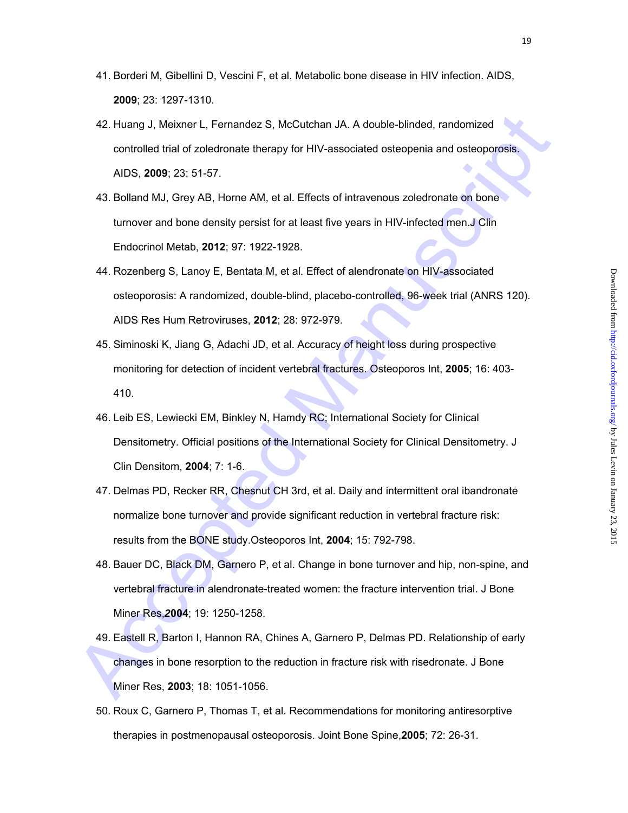- 41. Borderi M, Gibellini D, Vescini F, et al. Metabolic bone disease in HIV infection. AIDS, **2009**; 23: 1297-1310.
- 42. Huang J, Meixner L, Fernandez S, McCutchan JA. A double-blinded, randomized controlled trial of zoledronate therapy for HIV-associated osteopenia and osteoporosis. AIDS, **2009**; 23: 51-57.
- 43. Bolland MJ, Grey AB, Horne AM, et al. Effects of intravenous zoledronate on bone turnover and bone density persist for at least five years in HIV-infected men.J Clin Endocrinol Metab, **2012**; 97: 1922-1928.
- 42. Huang J, Maixnor L, Fernandez S, McCutchan JA. A double-billnded, randomized<br>controlled trial of zoledoronate therapy for HIV-associated osteopenia and osteoporosis.<br>AIDS, 2009; 23: 51-57.<br>43. Bolland MJ, Grey AB, Home 44. Rozenberg S, Lanoy E, Bentata M, et al. Effect of alendronate on HIV-associated osteoporosis: A randomized, double-blind, placebo-controlled, 96-week trial (ANRS 120). AIDS Res Hum Retroviruses, **2012**; 28: 972-979.
	- 45. Siminoski K, Jiang G, Adachi JD, et al. Accuracy of height loss during prospective monitoring for detection of incident vertebral fractures. Osteoporos Int, **2005**; 16: 403- 410.
	- 46. Leib ES, Lewiecki EM, Binkley N, Hamdy RC; International Society for Clinical Densitometry. Official positions of the International Society for Clinical Densitometry. J Clin Densitom, **2004**; 7: 1-6.
	- 47. Delmas PD, Recker RR, Chesnut CH 3rd, et al. Daily and intermittent oral ibandronate normalize bone turnover and provide significant reduction in vertebral fracture risk: results from the BONE study.Osteoporos Int, **2004**; 15: 792-798.
	- 48. Bauer DC, Black DM, Garnero P, et al. Change in bone turnover and hip, non-spine, and vertebral fracture in alendronate-treated women: the fracture intervention trial. J Bone Miner Res,*2***004**; 19: 1250-1258.
	- 49. Eastell R, Barton I, Hannon RA, Chines A, Garnero P, Delmas PD. Relationship of early changes in bone resorption to the reduction in fracture risk with risedronate. J Bone Miner Res, **2003**; 18: 1051-1056.
	- 50. Roux C, Garnero P, Thomas T, et al. Recommendations for monitoring antiresorptive therapies in postmenopausal osteoporosis. Joint Bone Spine,**2005**; 72: 26-31.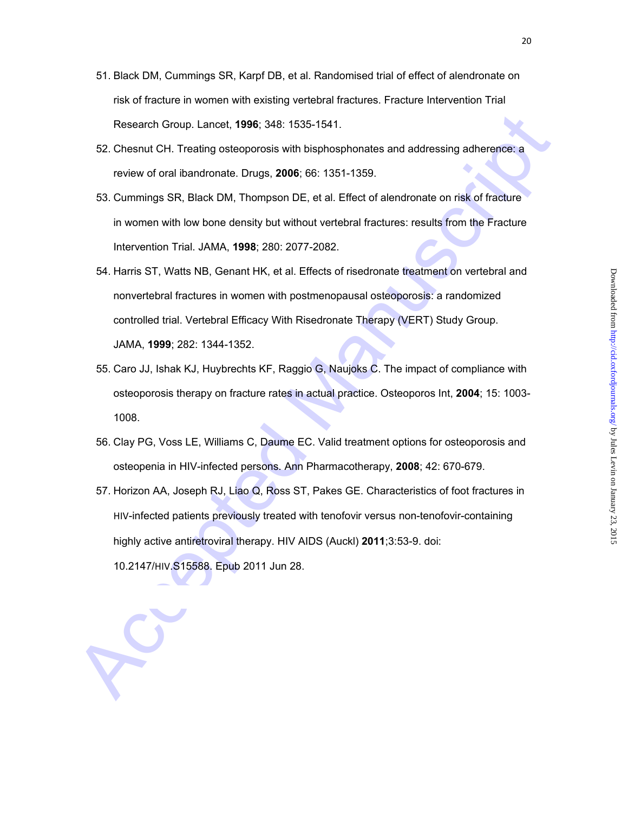- 51. Black DM, Cummings SR, Karpf DB, et al. Randomised trial of effect of alendronate on risk of fracture in women with existing vertebral fractures. Fracture Intervention Trial Research Group. Lancet, **1996**; 348: 1535-1541.
- 52. Chesnut CH. Treating osteoporosis with bisphosphonates and addressing adherence: a review of oral ibandronate. Drugs, **2006**; 66: 1351-1359.
- 53. Cummings SR, Black DM, Thompson DE, et al. Effect of alendronate on risk of fracture in women with low bone density but without vertebral fractures: results from the Fracture Intervention Trial. JAMA, **1998**; 280: 2077-2082.
- Research Group. Lancet, 1996; 348: 1535-1541,<br>
52. Chesnut CH. Treating osteoporosis with bisphosphonates and addressing adherence: a<br>
review of oral bandronate. Drugs, 2006; 66: 1351-1359.<br>
53. Cummings SR, Black DM, Thom 54. Harris ST, Watts NB, Genant HK, et al. Effects of risedronate treatment on vertebral and nonvertebral fractures in women with postmenopausal osteoporosis: a randomized controlled trial. Vertebral Efficacy With Risedronate Therapy (VERT) Study Group. JAMA, **1999**; 282: 1344-1352.
	- 55. Caro JJ, Ishak KJ, Huybrechts KF, Raggio G, Naujoks C. The impact of compliance with osteoporosis therapy on fracture rates in actual practice. Osteoporos Int, **2004**; 15: 1003- 1008.
	- 56. Clay PG, Voss LE, Williams C, Daume EC. Valid treatment options for osteoporosis and osteopenia in HIV-infected persons. Ann Pharmacotherapy, **2008**; 42: 670-679.
	- 57. Horizon AA, Joseph RJ, Liao Q, Ross ST, Pakes GE. Characteristics of foot fractures in HIV-infected patients previously treated with tenofovir versus non-tenofovir-containing highly active antiretroviral therapy. HIV AIDS (Auckl) **2011**;3:53-9. doi: 10.2147/HIV.S15588. Epub 2011 Jun 28.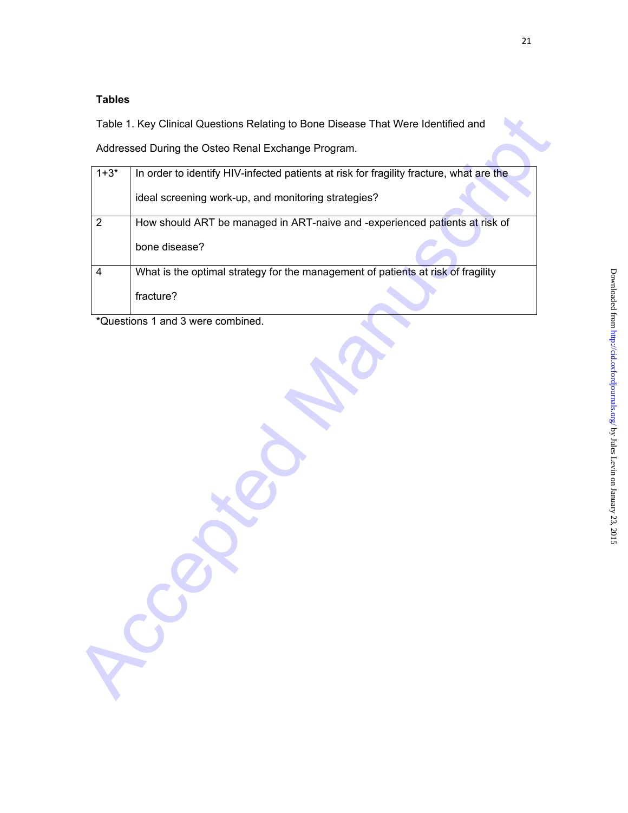# **Tables**

|                | Addressed During the Osteo Renal Exchange Program.                                      |  |  |  |
|----------------|-----------------------------------------------------------------------------------------|--|--|--|
| $1 + 3*$       | In order to identify HIV-infected patients at risk for fragility fracture, what are the |  |  |  |
|                | ideal screening work-up, and monitoring strategies?                                     |  |  |  |
| $\overline{2}$ | How should ART be managed in ART-naive and -experienced patients at risk of             |  |  |  |
|                | bone disease?                                                                           |  |  |  |
| 4              | What is the optimal strategy for the management of patients at risk of fragility        |  |  |  |
|                | fracture?                                                                               |  |  |  |
|                | *Questions 1 and 3 were combined.                                                       |  |  |  |
|                |                                                                                         |  |  |  |
|                |                                                                                         |  |  |  |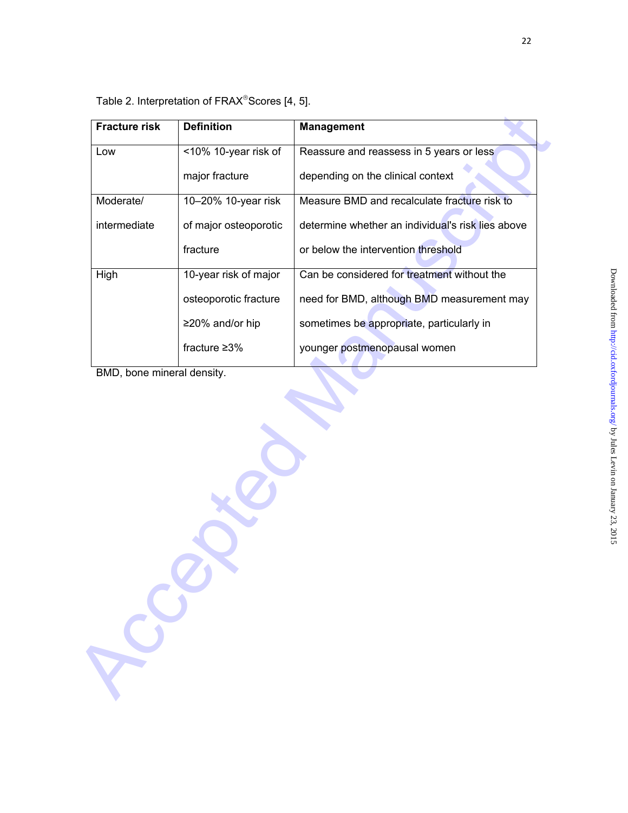| <b>Fracture risk</b>       | <b>Definition</b>     | <b>Management</b>                                 |  |
|----------------------------|-----------------------|---------------------------------------------------|--|
| Low                        | <10% 10-year risk of  | Reassure and reassess in 5 years or less          |  |
|                            | major fracture        | depending on the clinical context                 |  |
| Moderate/                  | 10-20% 10-year risk   | Measure BMD and recalculate fracture risk to      |  |
| intermediate               | of major osteoporotic | determine whether an individual's risk lies above |  |
|                            | fracture              | or below the intervention threshold               |  |
| High                       | 10-year risk of major | Can be considered for treatment without the       |  |
|                            | osteoporotic fracture | need for BMD, although BMD measurement may        |  |
|                            | ≥20% and/or hip       | sometimes be appropriate, particularly in         |  |
|                            | fracture $\geq 3\%$   | younger postmenopausal women                      |  |
| BMD, bone mineral density. |                       |                                                   |  |
|                            |                       |                                                   |  |
|                            |                       |                                                   |  |
|                            |                       |                                                   |  |

Table 2. Interpretation of FRAX®Scores [4, 5].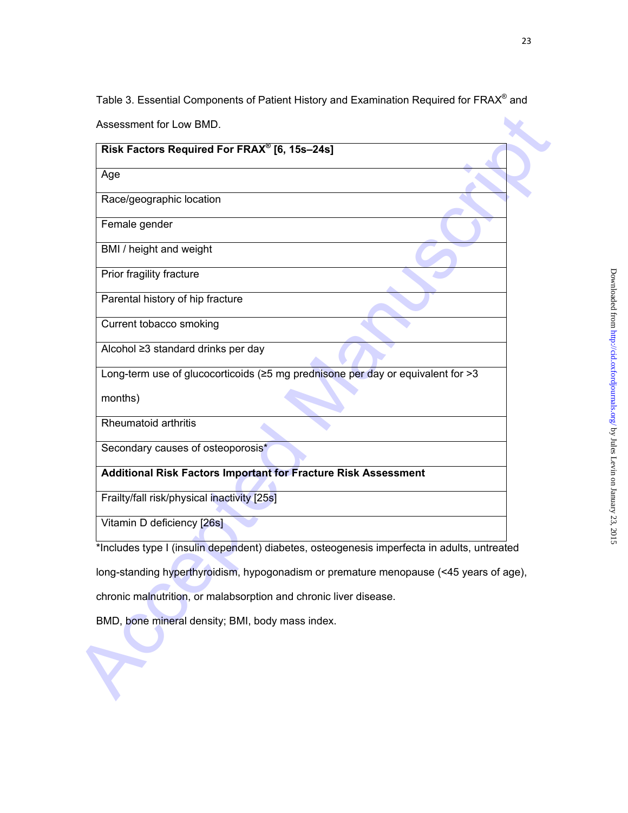Table 3. Essential Components of Patient History and Examination Required for FRAX® and

|                                             | Risk Factors Required For FRAX <sup>®</sup> [6, 15s-24s]                                    |  |
|---------------------------------------------|---------------------------------------------------------------------------------------------|--|
| Age                                         |                                                                                             |  |
| Race/geographic location                    |                                                                                             |  |
| Female gender                               |                                                                                             |  |
| BMI / height and weight                     |                                                                                             |  |
| Prior fragility fracture                    |                                                                                             |  |
| Parental history of hip fracture            |                                                                                             |  |
| Current tobacco smoking                     |                                                                                             |  |
| Alcohol ≥3 standard drinks per day          |                                                                                             |  |
|                                             | Long-term use of glucocorticoids (≥5 mg prednisone per day or equivalent for >3             |  |
| months)                                     |                                                                                             |  |
| Rheumatoid arthritis                        |                                                                                             |  |
| Secondary causes of osteoporosis*           |                                                                                             |  |
|                                             | <b>Additional Risk Factors Important for Fracture Risk Assessment</b>                       |  |
| Frailty/fall risk/physical inactivity [25s] |                                                                                             |  |
| Vitamin D deficiency [26s]                  |                                                                                             |  |
|                                             | *Includes type I (insulin dependent) diabetes, osteogenesis imperfecta in adults, untreated |  |
|                                             | long-standing hyperthyroidism, hypogonadism or premature menopause (<45 years of age),      |  |
|                                             | chronic malnutrition, or malabsorption and chronic liver disease.                           |  |
|                                             | BMD, bone mineral density; BMI, body mass index.                                            |  |
|                                             |                                                                                             |  |
|                                             |                                                                                             |  |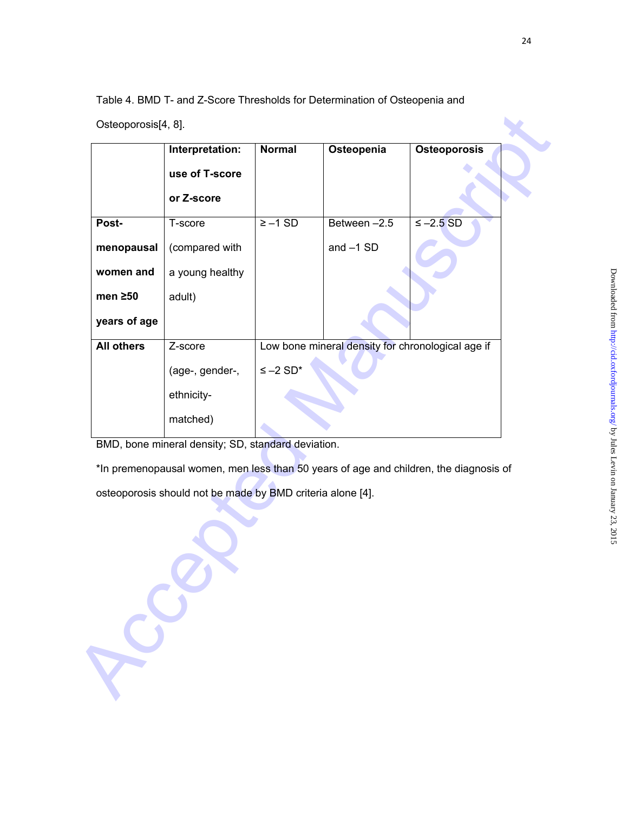Table 4. BMD T- and Z-Score Thresholds for Determination of Osteopenia and

Osteoporosis[4, 8].

|                   | Interpretation:                                                                       | <b>Normal</b> | Osteopenia                                        | Osteoporosis   |
|-------------------|---------------------------------------------------------------------------------------|---------------|---------------------------------------------------|----------------|
|                   | use of T-score                                                                        |               |                                                   |                |
|                   | or Z-score                                                                            |               |                                                   |                |
| Post-             | T-score                                                                               | $\ge -1$ SD   | Between $-2.5$                                    | $\leq -2.5$ SD |
| menopausal        | (compared with                                                                        |               | and $-1$ SD                                       |                |
| women and         | a young healthy                                                                       |               |                                                   |                |
| men $\geq 50$     | adult)                                                                                |               |                                                   |                |
| years of age      |                                                                                       |               |                                                   |                |
| <b>All others</b> | Z-score                                                                               |               | Low bone mineral density for chronological age if |                |
|                   | (age-, gender-,                                                                       | $≤ -2 SD*$    |                                                   |                |
|                   | ethnicity-                                                                            |               |                                                   |                |
|                   | matched)                                                                              |               |                                                   |                |
|                   | BMD, bone mineral density; SD, standard deviation.                                    |               |                                                   |                |
|                   | *In premenopausal women, men less than 50 years of age and children, the diagnosis of |               |                                                   |                |
|                   | osteoporosis should not be made by BMD criteria alone [4].                            |               |                                                   |                |
|                   |                                                                                       |               |                                                   |                |
|                   |                                                                                       |               |                                                   |                |
|                   |                                                                                       |               |                                                   |                |
|                   |                                                                                       |               |                                                   |                |
|                   |                                                                                       |               |                                                   |                |
|                   |                                                                                       |               |                                                   |                |
|                   |                                                                                       |               |                                                   |                |
| ROS               |                                                                                       |               |                                                   |                |
|                   |                                                                                       |               |                                                   |                |
|                   |                                                                                       |               |                                                   |                |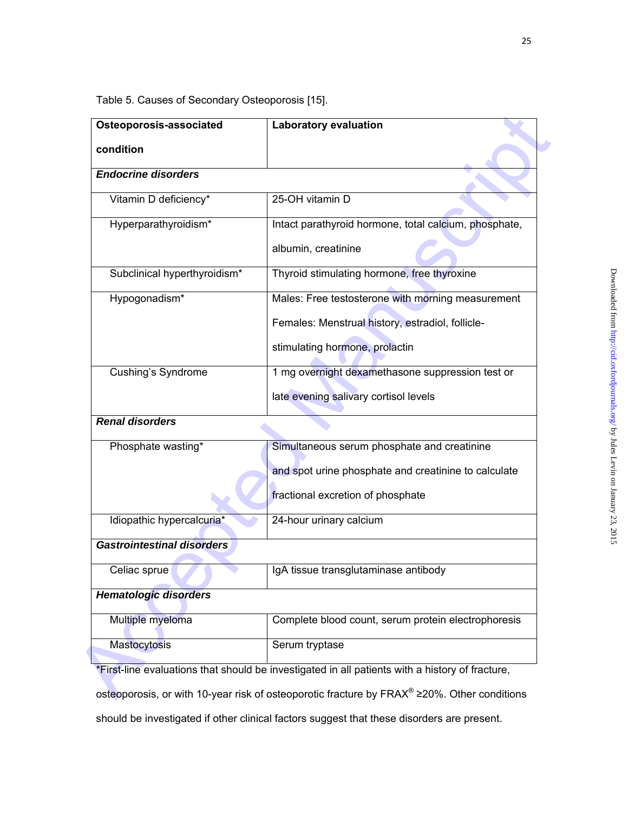Table 5. Causes of Secondary Osteoporosis [15].

| Osteoporosis-associated           | <b>Laboratory evaluation</b>                                                                    |
|-----------------------------------|-------------------------------------------------------------------------------------------------|
| condition                         |                                                                                                 |
| <b>Endocrine disorders</b>        |                                                                                                 |
| Vitamin D deficiency*             | 25-OH vitamin D                                                                                 |
| Hyperparathyroidism*              | Intact parathyroid hormone, total calcium, phosphate,                                           |
|                                   | albumin, creatinine                                                                             |
| Subclinical hyperthyroidism*      | Thyroid stimulating hormone, free thyroxine                                                     |
| Hypogonadism*                     | Males: Free testosterone with morning measurement                                               |
|                                   | Females: Menstrual history, estradiol, follicle-                                                |
|                                   | stimulating hormone, prolactin                                                                  |
| <b>Cushing's Syndrome</b>         | 1 mg overnight dexamethasone suppression test or                                                |
|                                   | late evening salivary cortisol levels                                                           |
| <b>Renal disorders</b>            |                                                                                                 |
| Phosphate wasting*                | Simultaneous serum phosphate and creatinine                                                     |
|                                   | and spot urine phosphate and creatinine to calculate                                            |
|                                   | fractional excretion of phosphate                                                               |
| Idiopathic hypercalcuria*         | 24-hour urinary calcium                                                                         |
| <b>Gastrointestinal disorders</b> |                                                                                                 |
| Celiac sprue                      | IgA tissue transglutaminase antibody                                                            |
| <b>Hematologic disorders</b>      |                                                                                                 |
| Multiple myeloma                  | Complete blood count, serum protein electrophoresis                                             |
| <b>Mastocytosis</b>               | Serum tryptase                                                                                  |
|                                   | *First-line evaluations that should be investigated in all patients with a history of fracture, |

osteoporosis, or with 10-year risk of osteoporotic fracture by FRAX® ≥20%. Other conditions

should be investigated if other clinical factors suggest that these disorders are present.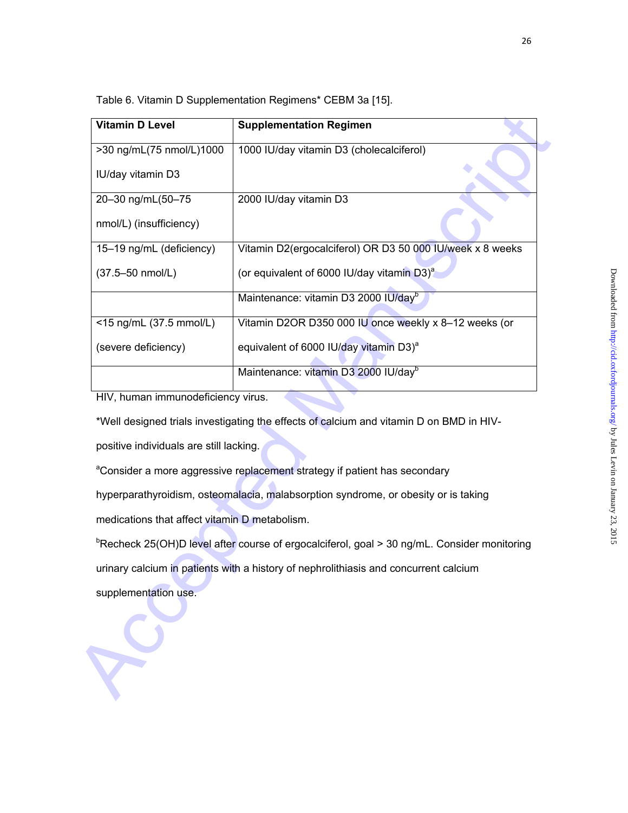| <b>Vitamin D Level</b>                        | <b>Supplementation Regimen</b>                                                                          |  |  |
|-----------------------------------------------|---------------------------------------------------------------------------------------------------------|--|--|
| >30 ng/mL(75 nmol/L)1000                      | 1000 IU/day vitamin D3 (cholecalciferol)                                                                |  |  |
| IU/day vitamin D3                             |                                                                                                         |  |  |
| 20-30 ng/mL(50-75                             | 2000 IU/day vitamin D3                                                                                  |  |  |
| nmol/L) (insufficiency)                       |                                                                                                         |  |  |
| 15-19 ng/mL (deficiency)                      | Vitamin D2(ergocalciferol) OR D3 50 000 IU/week x 8 weeks                                               |  |  |
| (37.5-50 nmol/L)                              | (or equivalent of 6000 IU/day vitamin D3) <sup>a</sup>                                                  |  |  |
|                                               | Maintenance: vitamin D3 2000 IU/dayb                                                                    |  |  |
| <15 ng/mL (37.5 mmol/L)                       | Vitamin D2OR D350 000 IU once weekly x 8-12 weeks (or                                                   |  |  |
| (severe deficiency)                           | equivalent of 6000 IU/day vitamin D3) <sup>a</sup>                                                      |  |  |
|                                               | Maintenance: vitamin D3 2000 IU/dayb                                                                    |  |  |
| HIV, human immunodeficiency virus.            |                                                                                                         |  |  |
|                                               | *Well designed trials investigating the effects of calcium and vitamin D on BMD in HIV-                 |  |  |
| positive individuals are still lacking.       |                                                                                                         |  |  |
|                                               | <sup>a</sup> Consider a more aggressive replacement strategy if patient has secondary                   |  |  |
|                                               | hyperparathyroidism, osteomalacia, malabsorption syndrome, or obesity or is taking                      |  |  |
| medications that affect vitamin D metabolism. |                                                                                                         |  |  |
|                                               | <sup>b</sup> Recheck 25(OH)D level after course of ergocalciferol, goal > 30 ng/mL. Consider monitoring |  |  |
|                                               | urinary calcium in patients with a history of nephrolithiasis and concurrent calcium                    |  |  |
| supplementation use.                          |                                                                                                         |  |  |
|                                               |                                                                                                         |  |  |
|                                               |                                                                                                         |  |  |
|                                               |                                                                                                         |  |  |
|                                               |                                                                                                         |  |  |

Table 6. Vitamin D Supplementation Regimens\* CEBM 3a [15].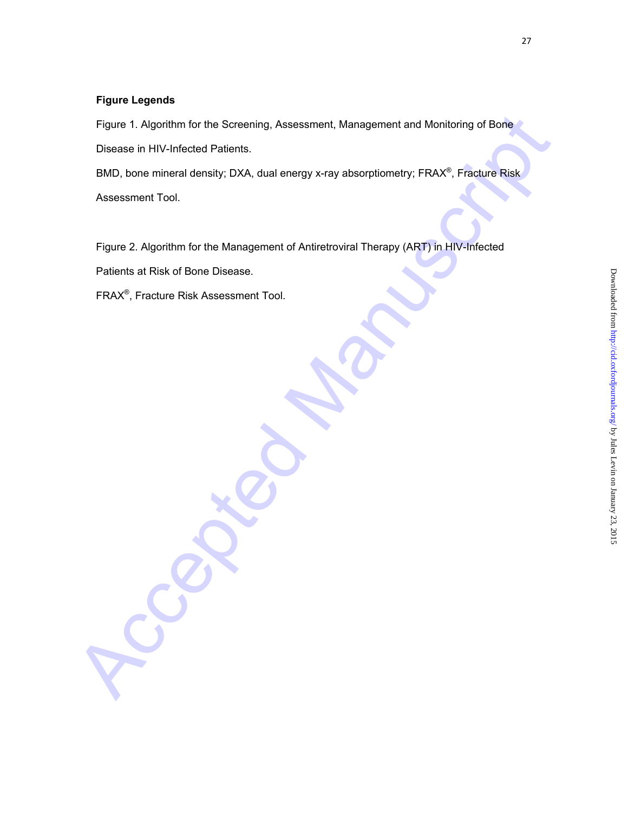# **Figure Legends**

Figure 1. Algorithm for the Screening, Assessment, Management and Monitoring of Bone Disease in HIV-Infected Patients.

Figure 1. Algorithm for the Screening, Assessment, Management and Monitoring of Bone<br>Disease in HIV-Infected Patients.<br>BMD, bone mineral density; DXA, dual energy x-ray absorptiometry: FRAX<sup>2</sup>, Fracture Risk,<br>Assessment To BMD, bone mineral density; DXA, dual energy x-ray absorptiometry; FRAX®, Fracture Risk Assessment Tool.

Figure 2. Algorithm for the Management of Antiretroviral Therapy (ART) in HIV-Infected

Patients at Risk of Bone Disease.

FRAX®, Fracture Risk Assessment Tool.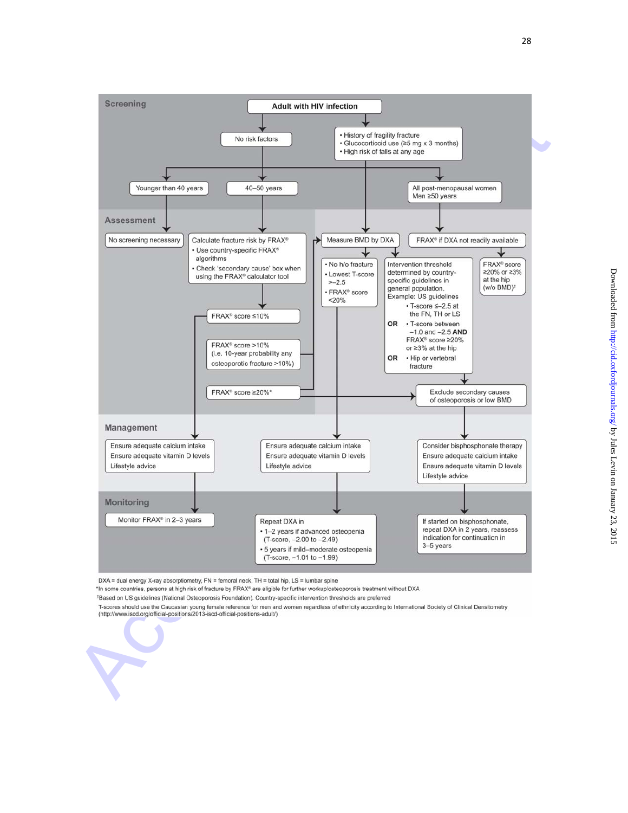